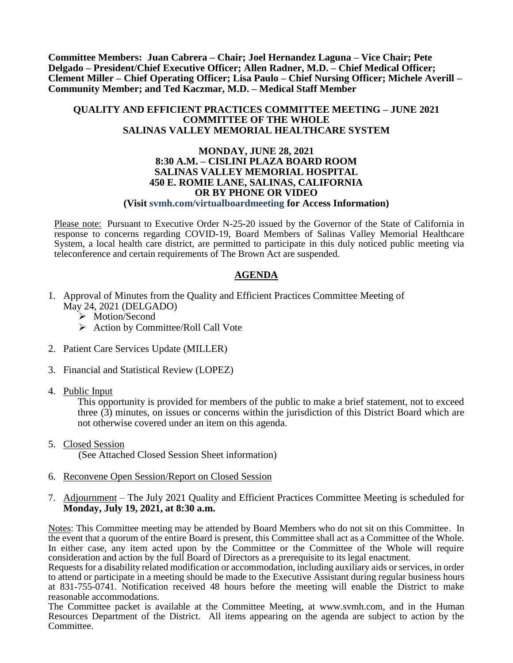**Committee Members: Juan Cabrera – Chair; Joel Hernandez Laguna – Vice Chair; Pete Delgado – President/Chief Executive Officer; Allen Radner, M.D. – Chief Medical Officer; Clement Miller – Chief Operating Officer; Lisa Paulo – Chief Nursing Officer; Michele Averill – Community Member; and Ted Kaczmar, M.D. – Medical Staff Member**

#### **QUALITY AND EFFICIENT PRACTICES COMMITTEE MEETING – JUNE 2021 COMMITTEE OF THE WHOLE SALINAS VALLEY MEMORIAL HEALTHCARE SYSTEM**

#### **MONDAY, JUNE 28, 2021 8:30 A.M. – CISLINI PLAZA BOARD ROOM SALINAS VALLEY MEMORIAL HOSPITAL 450 E. ROMIE LANE, SALINAS, CALIFORNIA OR BY PHONE OR VIDEO (Visit svmh.com/virtualboardmeeting for Access Information)**

Please note: Pursuant to Executive Order N-25-20 issued by the Governor of the State of California in response to concerns regarding COVID-19, Board Members of Salinas Valley Memorial Healthcare System, a local health care district, are permitted to participate in this duly noticed public meeting via teleconference and certain requirements of The Brown Act are suspended.

#### **AGENDA**

- 1. Approval of Minutes from the Quality and Efficient Practices Committee Meeting of May 24, 2021 (DELGADO)
	- > Motion/Second
	- $\triangleright$  Action by Committee/Roll Call Vote
- 2. Patient Care Services Update (MILLER)
- 3. Financial and Statistical Review (LOPEZ)
- 4. Public Input

This opportunity is provided for members of the public to make a brief statement, not to exceed three (3) minutes, on issues or concerns within the jurisdiction of this District Board which are not otherwise covered under an item on this agenda.

- 5. Closed Session (See Attached Closed Session Sheet information)
- 6. Reconvene Open Session/Report on Closed Session
- 7. Adjournment The July 2021 Quality and Efficient Practices Committee Meeting is scheduled for **Monday, July 19, 2021, at 8:30 a.m.**

Notes: This Committee meeting may be attended by Board Members who do not sit on this Committee. In the event that a quorum of the entire Board is present, this Committee shall act as a Committee of the Whole. In either case, any item acted upon by the Committee or the Committee of the Whole will require consideration and action by the full Board of Directors as a prerequisite to its legal enactment.

Requests for a disability related modification or accommodation, including auxiliary aids or services, in order to attend or participate in a meeting should be made to the Executive Assistant during regular business hours at 831-755-0741. Notification received 48 hours before the meeting will enable the District to make reasonable accommodations.

The Committee packet is available at the Committee Meeting, at www.svmh.com, and in the Human Resources Department of the District. All items appearing on the agenda are subject to action by the Committee.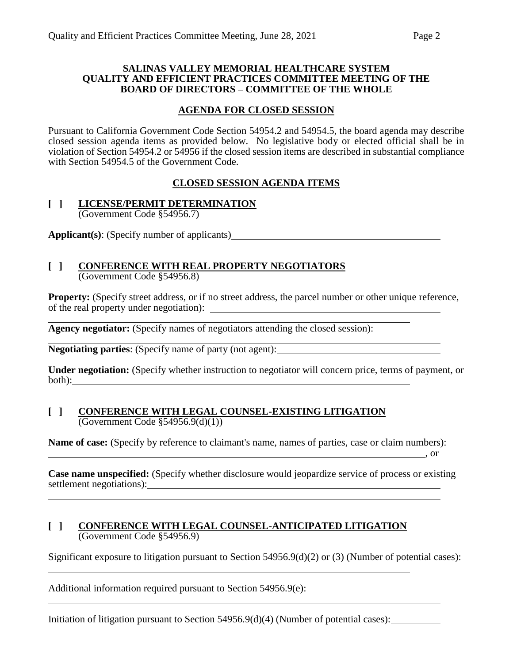#### **SALINAS VALLEY MEMORIAL HEALTHCARE SYSTEM QUALITY AND EFFICIENT PRACTICES COMMITTEE MEETING OF THE BOARD OF DIRECTORS – COMMITTEE OF THE WHOLE**

## **AGENDA FOR CLOSED SESSION**

Pursuant to California Government Code Section 54954.2 and 54954.5, the board agenda may describe closed session agenda items as provided below. No legislative body or elected official shall be in violation of Section 54954.2 or 54956 if the closed session items are described in substantial compliance with Section 54954.5 of the Government Code.

# **CLOSED SESSION AGENDA ITEMS**

#### **[ ] LICENSE/PERMIT DETERMINATION** (Government Code §54956.7)

**Applicant(s)**: (Specify number of applicants)

# **[ ] CONFERENCE WITH REAL PROPERTY NEGOTIATORS**

(Government Code §54956.8)

**Property:** (Specify street address, or if no street address, the parcel number or other unique reference, of the real property under negotiation):

**Agency negotiator:** (Specify names of negotiators attending the closed session):

**Negotiating parties**: (Specify name of party (not agent):

**Under negotiation:** (Specify whether instruction to negotiator will concern price, terms of payment, or both): where the contract of the contract of the contract of the contract of the contract of the contract of the contract of the contract of the contract of the contract of the contract of the contract of the contract of t

#### **[ ] CONFERENCE WITH LEGAL COUNSEL-EXISTING LITIGATION** (Government Code §54956.9(d)(1))

**Name of case:** (Specify by reference to claimant's name, names of parties, case or claim numbers): , or

**Case name unspecified:** (Specify whether disclosure would jeopardize service of process or existing settlement negotiations):

#### **[ ] CONFERENCE WITH LEGAL COUNSEL-ANTICIPATED LITIGATION** (Government Code §54956.9)

Significant exposure to litigation pursuant to Section 54956.9(d)(2) or (3) (Number of potential cases):

Additional information required pursuant to Section 54956.9(e):

Initiation of litigation pursuant to Section 54956.9(d)(4) (Number of potential cases):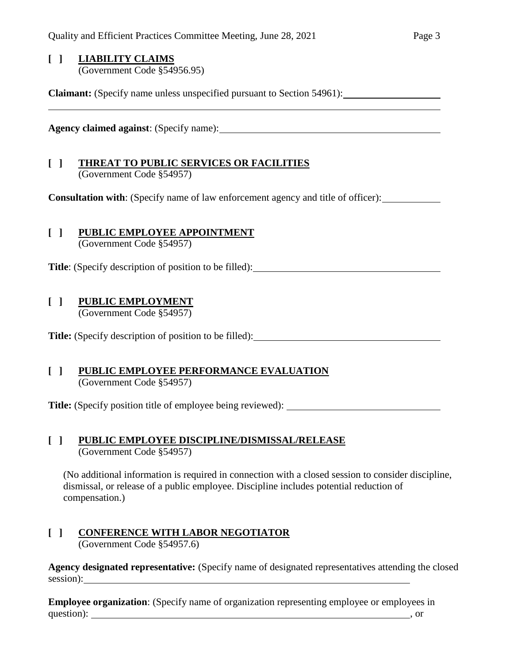#### **[ ] LIABILITY CLAIMS** (Government Code §54956.95)

**Claimant:** (Specify name unless unspecified pursuant to Section 54961):

**Agency claimed against**: (Specify name):

#### **[ ] THREAT TO PUBLIC SERVICES OR FACILITIES** (Government Code §54957)

**Consultation with**: (Specify name of law enforcement agency and title of officer):

# **[ ] PUBLIC EMPLOYEE APPOINTMENT**

(Government Code §54957)

Title: (Specify description of position to be filled):

# **[ ] PUBLIC EMPLOYMENT**

(Government Code §54957)

Title: (Specify description of position to be filled):

## **[ ] PUBLIC EMPLOYEE PERFORMANCE EVALUATION** (Government Code §54957)

**Title:** (Specify position title of employee being reviewed):

#### **[ ] PUBLIC EMPLOYEE DISCIPLINE/DISMISSAL/RELEASE** (Government Code §54957)

(No additional information is required in connection with a closed session to consider discipline, dismissal, or release of a public employee. Discipline includes potential reduction of compensation.)

#### **[ ] CONFERENCE WITH LABOR NEGOTIATOR** (Government Code §54957.6)

**Agency designated representative:** (Specify name of designated representatives attending the closed session):

**Employee organization**: (Specify name of organization representing employee or employees in question): , or